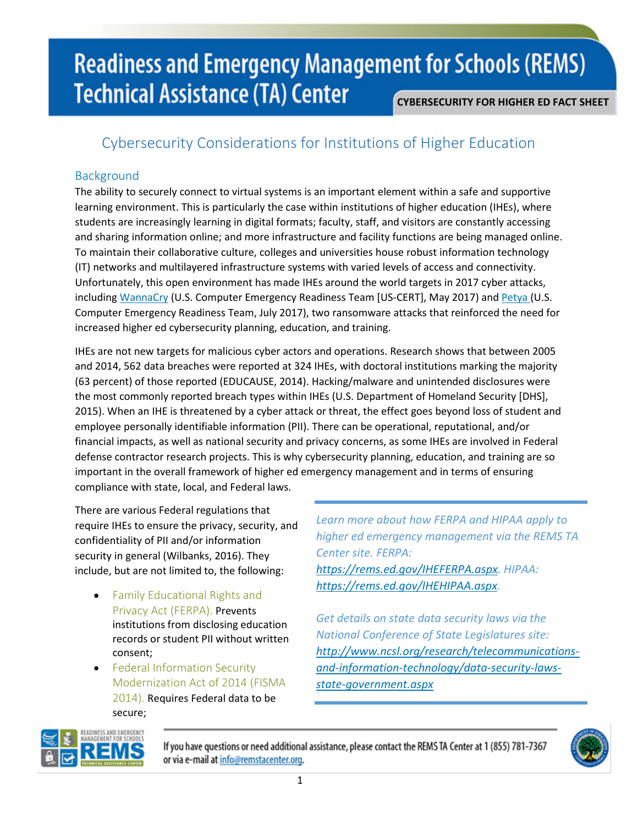### Cybersecurity Considerations for Institutions of Higher Education

### Background

The ability to securely connect to virtual systems is an important element within a safe and supportive learning environment. This is particularly the case within institutions of higher education (IHEs), where students are increasingly learning in digital formats; faculty, staff, and visitors are constantly accessing and sharing information online; and more infrastructure and facility functions are being managed online. To maintain their collaborative culture, colleges and universities house robust information technology (IT) networks and multilayered infrastructure systems with varied levels of access and connectivity. Unfortunately, this open environment has made IHEs around the world targets in 2017 cyber attacks, including [WannaCry](https://www.us-cert.gov/ncas/alerts/TA17-132A) (U.S. Computer Emergency Readiness Team [US-CERT], May 2017) and [Petya](https://www.us-cert.gov/ncas/current-activity/2017/06/27/Multiple-Petya-Ransomware-Infections-Reported) (U.S. Computer Emergency Readiness Team, July 2017), two ransomware attacks that reinforced the need for increased higher ed cybersecurity planning, education, and training.

IHEs are not new targets for malicious cyber actors and operations. Research shows that between 2005 and 2014, 562 data breaches were reported at 324 IHEs, with doctoral institutions marking the majority (63 percent) of those reported (EDUCAUSE, 2014). Hacking/malware and unintended disclosures were the most commonly reported breach types within IHEs (U.S. Department of Homeland Security [DHS], 2015). When an IHE is threatened by a cyber attack or threat, the effect goes beyond loss of student and employee personally identifiable information (PII). There can be operational, reputational, and/or financial impacts, as well as national security and privacy concerns, as some IHEs are involved in Federal defense contractor research projects. This is why cybersecurity planning, education, and training are so important in the overall framework of higher ed emergency management and in terms of ensuring compliance with state, local, and Federal laws.

There are various Federal regulations that require IHEs to ensure the privacy, security, and confidentiality of PII and/or information security in general (Wilbanks, 2016). They include, but are not limited to, the following:

- Family Educational Rights and Privacy Act (FERPA). Prevents institutions from disclosing education records or student PII without written consent;
- Federal Information Security Modernization Act of 2014 (FISMA 2014). Requires Federal data to be secure;

*Learn more about how FERPA and HIPAA apply to higher ed emergency management via the REMS TA Center site. FERPA: [https://rems.ed.gov/IHEFERPA.aspx.](https://rems.ed.gov/IHEFERPA.aspx) HIPAA: [https://rems.ed.gov/IHEHIPAA.aspx.](https://rems.ed.gov/IHEHIPAA.aspx)* 

*Get details on state data security laws via the National Conference of State Legislatures site: [http://www.ncsl.org/research/telecommunications](http://www.ncsl.org/research/telecommunications-and-information-technology/data-security-laws-state-government.aspx)[and-information-technology/data-security-laws](http://www.ncsl.org/research/telecommunications-and-information-technology/data-security-laws-state-government.aspx)[state-government.aspx](http://www.ncsl.org/research/telecommunications-and-information-technology/data-security-laws-state-government.aspx)* 



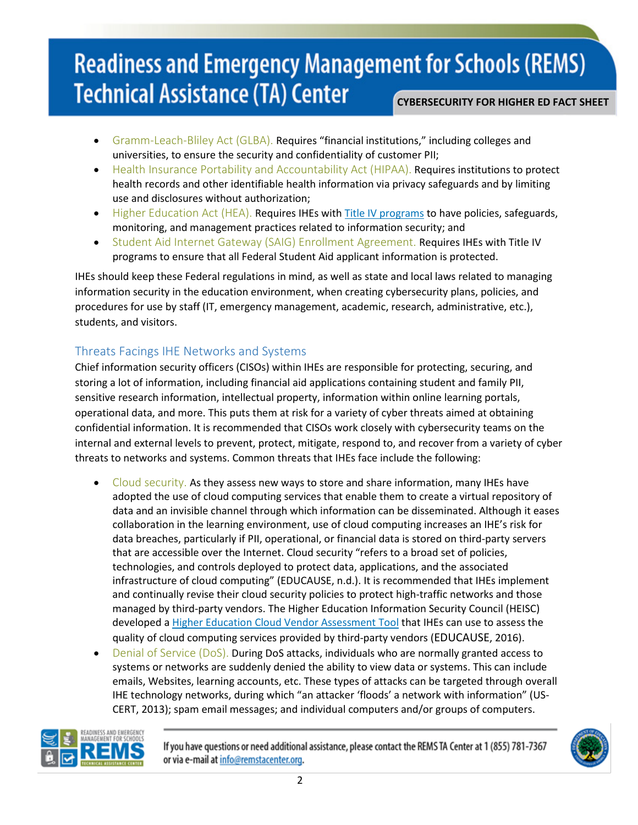- Gramm-Leach-Bliley Act (GLBA). Requires "financial institutions," including colleges and universities, to ensure the security and confidentiality of customer PII;
- Health Insurance Portability and Accountability Act (HIPAA). Requires institutions to protect health records and other identifiable health information via privacy safeguards and by limiting use and disclosures without authorization;
- $\bullet$  Higher Education Act (HEA). Requires IHEs wit[h Title IV programs](http://federalstudentaid.ed.gov/site/front2back/programs/programs/fb_03_01_0030.htm) to have policies, safeguards, monitoring, and management practices related to information security; and
- Student Aid Internet Gateway (SAIG) Enrollment Agreement. Requires IHEs with Title IV programs to ensure that all Federal Student Aid applicant information is protected.

IHEs should keep these Federal regulations in mind, as well as state and local laws related to managing information security in the education environment, when creating cybersecurity plans, policies, and procedures for use by staff (IT, emergency management, academic, research, administrative, etc.), students, and visitors.

### Threats Facings IHE Networks and Systems

Chief information security officers (CISOs) within IHEs are responsible for protecting, securing, and storing a lot of information, including financial aid applications containing student and family PII, sensitive research information, intellectual property, information within online learning portals, operational data, and more. This puts them at risk for a variety of cyber threats aimed at obtaining confidential information. It is recommended that CISOs work closely with cybersecurity teams on the internal and external levels to prevent, protect, mitigate, respond to, and recover from a variety of cyber threats to networks and systems. Common threats that IHEs face include the following:

- Cloud security. As they assess new ways to store and share information, many IHEs have adopted the use of cloud computing services that enable them to create a virtual repository of data and an invisible channel through which information can be disseminated. Although it eases collaboration in the learning environment, use of cloud computing increases an IHE's risk for data breaches, particularly if PII, operational, or financial data is stored on third-party servers that are accessible over the Internet. Cloud security "refers to a broad set of policies, technologies, and controls deployed to protect data, applications, and the associated infrastructure of cloud computing" (EDUCAUSE, n.d.). It is recommended that IHEs implement and continually revise their cloud security policies to protect high-traffic networks and those managed by third-party vendors. The Higher Education Information Security Council (HEISC) developed a [Higher Education Cloud Vendor Assessment Tool](https://library.educause.edu/resources/2016/10/higher-education-cloud-vendor-assessment-tool) that IHEs can use to assess the quality of cloud computing services provided by third-party vendors (EDUCAUSE, 2016).
- Denial of Service (DoS). During DoS attacks, individuals who are normally granted access to systems or networks are suddenly denied the ability to view data or systems. This can include emails, Websites, learning accounts, etc. These types of attacks can be targeted through overall IHE technology networks, during which "an attacker 'floods' a network with information" (US-CERT, 2013); spam email messages; and individual computers and/or groups of computers.



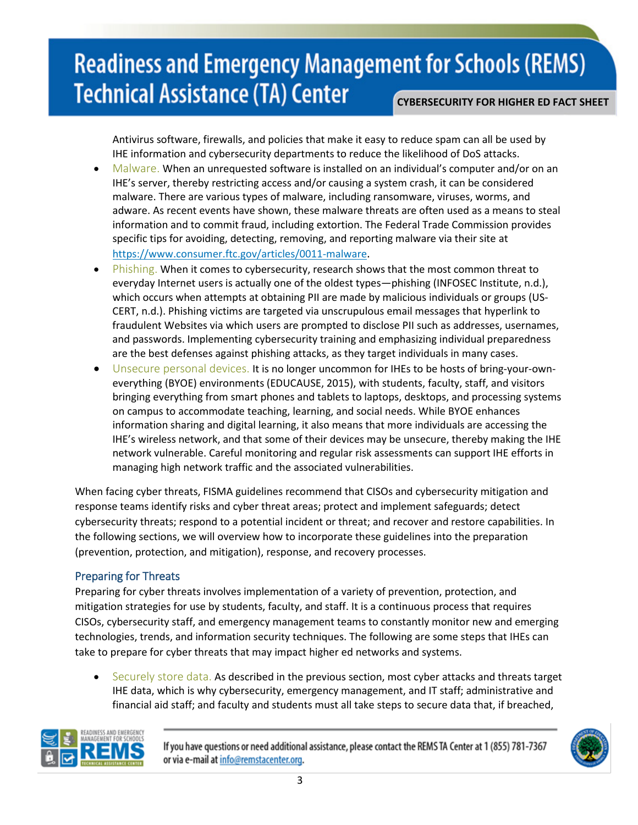Antivirus software, firewalls, and policies that make it easy to reduce spam can all be used by IHE information and cybersecurity departments to reduce the likelihood of DoS attacks.

- Malware. When an unrequested software is installed on an individual's computer and/or on an IHE's server, thereby restricting access and/or causing a system crash, it can be considered malware. There are various types of malware, including ransomware, viruses, worms, and adware. As recent events have shown, these malware threats are often used as a means to steal information and to commit fraud, including extortion. The Federal Trade Commission provides specific tips for avoiding, detecting, removing, and reporting malware via their site at [https://www.consumer.ftc.gov/articles/0011-malware.](https://www.consumer.ftc.gov/articles/0011-malware)
- **Phishing.** When it comes to cybersecurity, research shows that the most common threat to everyday Internet users is actually one of the oldest types—phishing (INFOSEC Institute, n.d.), which occurs when attempts at obtaining PII are made by malicious individuals or groups (US-CERT, n.d.). Phishing victims are targeted via unscrupulous email messages that hyperlink to fraudulent Websites via which users are prompted to disclose PII such as addresses, usernames, and passwords. Implementing cybersecurity training and emphasizing individual preparedness are the best defenses against phishing attacks, as they target individuals in many cases.
- Unsecure personal devices. It is no longer uncommon for IHEs to be hosts of bring-your-owneverything (BYOE) environments (EDUCAUSE, 2015), with students, faculty, staff, and visitors bringing everything from smart phones and tablets to laptops, desktops, and processing systems on campus to accommodate teaching, learning, and social needs. While BYOE enhances information sharing and digital learning, it also means that more individuals are accessing the IHE's wireless network, and that some of their devices may be unsecure, thereby making the IHE network vulnerable. Careful monitoring and regular risk assessments can support IHE efforts in managing high network traffic and the associated vulnerabilities.

When facing cyber threats, FISMA guidelines recommend that CISOs and cybersecurity mitigation and response teams identify risks and cyber threat areas; protect and implement safeguards; detect cybersecurity threats; respond to a potential incident or threat; and recover and restore capabilities. In the following sections, we will overview how to incorporate these guidelines into the preparation (prevention, protection, and mitigation), response, and recovery processes.

### Preparing for Threats

Preparing for cyber threats involves implementation of a variety of prevention, protection, and mitigation strategies for use by students, faculty, and staff. It is a continuous process that requires CISOs, cybersecurity staff, and emergency management teams to constantly monitor new and emerging technologies, trends, and information security techniques. The following are some steps that IHEs can take to prepare for cyber threats that may impact higher ed networks and systems.

• Securely store data. As described in the previous section, most cyber attacks and threats target IHE data, which is why cybersecurity, emergency management, and IT staff; administrative and financial aid staff; and faculty and students must all take steps to secure data that, if breached,



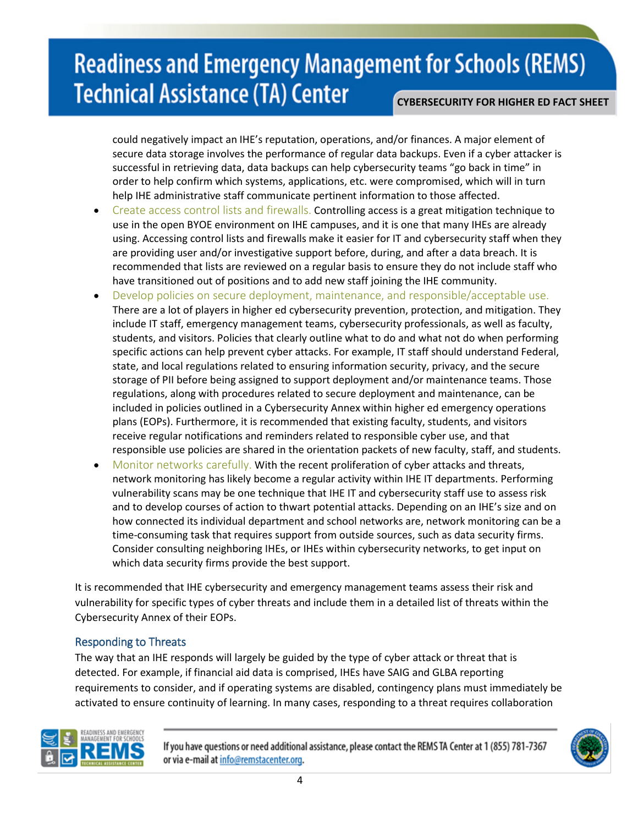could negatively impact an IHE's reputation, operations, and/or finances. A major element of secure data storage involves the performance of regular data backups. Even if a cyber attacker is successful in retrieving data, data backups can help cybersecurity teams "go back in time" in order to help confirm which systems, applications, etc. were compromised, which will in turn help IHE administrative staff communicate pertinent information to those affected.

- Create access control lists and firewalls. Controlling access is a great mitigation technique to use in the open BYOE environment on IHE campuses, and it is one that many IHEs are already using. Accessing control lists and firewalls make it easier for IT and cybersecurity staff when they are providing user and/or investigative support before, during, and after a data breach. It is recommended that lists are reviewed on a regular basis to ensure they do not include staff who have transitioned out of positions and to add new staff joining the IHE community.
- Develop policies on secure deployment, maintenance, and responsible/acceptable use. There are a lot of players in higher ed cybersecurity prevention, protection, and mitigation. They include IT staff, emergency management teams, cybersecurity professionals, as well as faculty, students, and visitors. Policies that clearly outline what to do and what not do when performing specific actions can help prevent cyber attacks. For example, IT staff should understand Federal, state, and local regulations related to ensuring information security, privacy, and the secure storage of PII before being assigned to support deployment and/or maintenance teams. Those regulations, along with procedures related to secure deployment and maintenance, can be included in policies outlined in a Cybersecurity Annex within higher ed emergency operations plans (EOPs). Furthermore, it is recommended that existing faculty, students, and visitors receive regular notifications and reminders related to responsible cyber use, and that responsible use policies are shared in the orientation packets of new faculty, staff, and students.
- Monitor networks carefully. With the recent proliferation of cyber attacks and threats, network monitoring has likely become a regular activity within IHE IT departments. Performing vulnerability scans may be one technique that IHE IT and cybersecurity staff use to assess risk and to develop courses of action to thwart potential attacks. Depending on an IHE's size and on how connected its individual department and school networks are, network monitoring can be a time-consuming task that requires support from outside sources, such as data security firms. Consider consulting neighboring IHEs, or IHEs within cybersecurity networks, to get input on which data security firms provide the best support.

It is recommended that IHE cybersecurity and emergency management teams assess their risk and vulnerability for specific types of cyber threats and include them in a detailed list of threats within the Cybersecurity Annex of their EOPs.

#### Responding to Threats

The way that an IHE responds will largely be guided by the type of cyber attack or threat that is detected. For example, if financial aid data is comprised, IHEs have SAIG and GLBA reporting requirements to consider, and if operating systems are disabled, contingency plans must immediately be activated to ensure continuity of learning. In many cases, responding to a threat requires collaboration



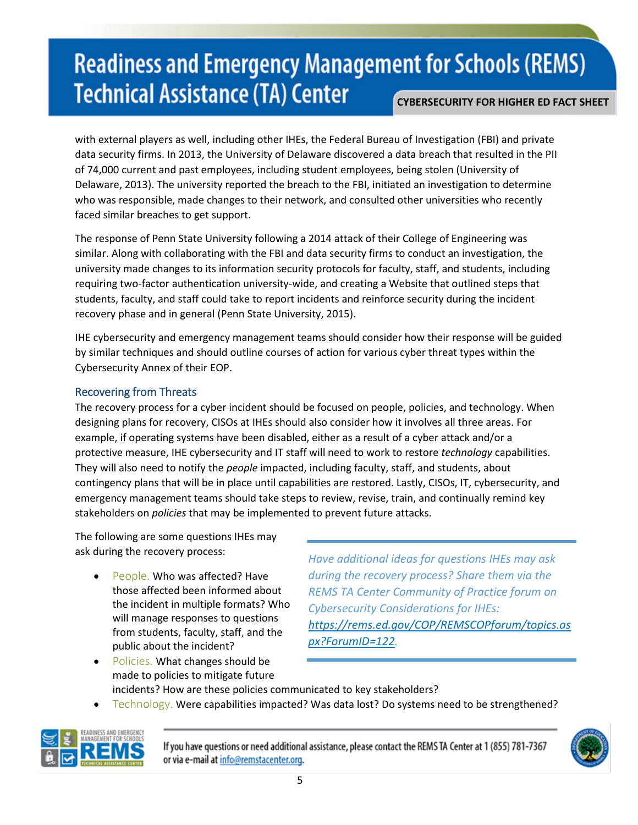with external players as well, including other IHEs, the Federal Bureau of Investigation (FBI) and private data security firms. In 2013, the University of Delaware discovered a data breach that resulted in the PII of 74,000 current and past employees, including student employees, being stolen (University of Delaware, 2013). The university reported the breach to the FBI, initiated an investigation to determine who was responsible, made changes to their network, and consulted other universities who recently faced similar breaches to get support.

The response of Penn State University following a 2014 attack of their College of Engineering was similar. Along with collaborating with the FBI and data security firms to conduct an investigation, the university made changes to its information security protocols for faculty, staff, and students, including requiring two-factor authentication university-wide, and creating a Website that outlined steps that students, faculty, and staff could take to report incidents and reinforce security during the incident recovery phase and in general (Penn State University, 2015).

IHE cybersecurity and emergency management teams should consider how their response will be guided by similar techniques and should outline courses of action for various cyber threat types within the Cybersecurity Annex of their EOP.

#### Recovering from Threats

The recovery process for a cyber incident should be focused on people, policies, and technology. When designing plans for recovery, CISOs at IHEs should also consider how it involves all three areas. For example, if operating systems have been disabled, either as a result of a cyber attack and/or a protective measure, IHE cybersecurity and IT staff will need to work to restore *technology* capabilities. They will also need to notify the *people* impacted, including faculty, staff, and students, about contingency plans that will be in place until capabilities are restored. Lastly, CISOs, IT, cybersecurity, and emergency management teams should take steps to review, revise, train, and continually remind key stakeholders on *policies* that may be implemented to prevent future attacks.

The following are some questions IHEs may ask during the recovery process:

People. Who was affected? Have those affected been informed about the incident in multiple formats? Who will manage responses to questions from students, faculty, staff, and the public about the incident?

*Have additional ideas for questions IHEs may ask during the recovery process? Share them via the REMS TA Center Community of Practice forum on Cybersecurity Considerations for IHEs: [https://rems.ed.gov/COP/REMSCOPforum/topics.as](https://rems.ed.gov/COP/REMSCOPforum/topics.aspx?ForumID=122) [px?ForumID=122.](https://rems.ed.gov/COP/REMSCOPforum/topics.aspx?ForumID=122)* 

- Policies. What changes should be made to policies to mitigate future incidents? How are these policies communicated to key stakeholders?
- Technology. Were capabilities impacted? Was data lost? Do systems need to be strengthened?



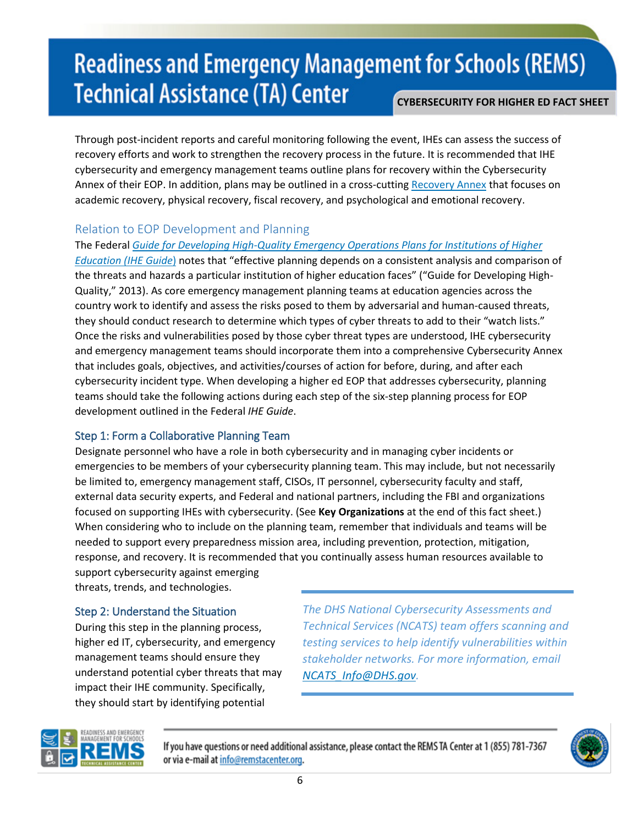Through post-incident reports and careful monitoring following the event, IHEs can assess the success of recovery efforts and work to strengthen the recovery process in the future. It is recommended that IHE cybersecurity and emergency management teams outline plans for recovery within the Cybersecurity Annex of their EOP. In addition, plans may be outlined in a cross-cutting [Recovery Annex](https://rems.ed.gov/IHERecoveryAnnex.aspx) that focuses on academic recovery, physical recovery, fiscal recovery, and psychological and emotional recovery.

### Relation to EOP Development and Planning

The Federal *[Guide for Developing High-Quality Emergency Operations Plans for Institutions of Higher](https://rems.ed.gov/IHEGuideIntro.aspx)* 

*[Education \(IHE Guide](https://rems.ed.gov/IHEGuideIntro.aspx)*) notes that "effective planning depends on a consistent analysis and comparison of the threats and hazards a particular institution of higher education faces" ("Guide for Developing High-Quality," 2013). As core emergency management planning teams at education agencies across the country work to identify and assess the risks posed to them by adversarial and human-caused threats, they should conduct research to determine which types of cyber threats to add to their "watch lists." Once the risks and vulnerabilities posed by those cyber threat types are understood, IHE cybersecurity and emergency management teams should incorporate them into a comprehensive Cybersecurity Annex that includes goals, objectives, and activities/courses of action for before, during, and after each cybersecurity incident type. When developing a higher ed EOP that addresses cybersecurity, planning teams should take the following actions during each step of the six-step planning process for EOP development outlined in the Federal *IHE Guide*.

### Step 1: Form a Collaborative Planning Team

Designate personnel who have a role in both cybersecurity and in managing cyber incidents or emergencies to be members of your cybersecurity planning team. This may include, but not necessarily be limited to, emergency management staff, CISOs, IT personnel, cybersecurity faculty and staff, external data security experts, and Federal and national partners, including the FBI and organizations focused on supporting IHEs with cybersecurity. (See **Key Organizations** at the end of this fact sheet.) When considering who to include on the planning team, remember that individuals and teams will be needed to support every preparedness mission area, including prevention, protection, mitigation, response, and recovery. It is recommended that you continually assess human resources available to

support cybersecurity against emerging threats, trends, and technologies.

### Step 2: Understand the Situation

During this step in the planning process, higher ed IT, cybersecurity, and emergency management teams should ensure they understand potential cyber threats that may impact their IHE community. Specifically, they should start by identifying potential

*The DHS National Cybersecurity Assessments and Technical Services (NCATS) team offers scanning and testing services to help identify vulnerabilities within stakeholder networks. For more information, email [NCATS\\_Info@DHS.gov.](mailto:NCATS_Info@DHS.gov)* 



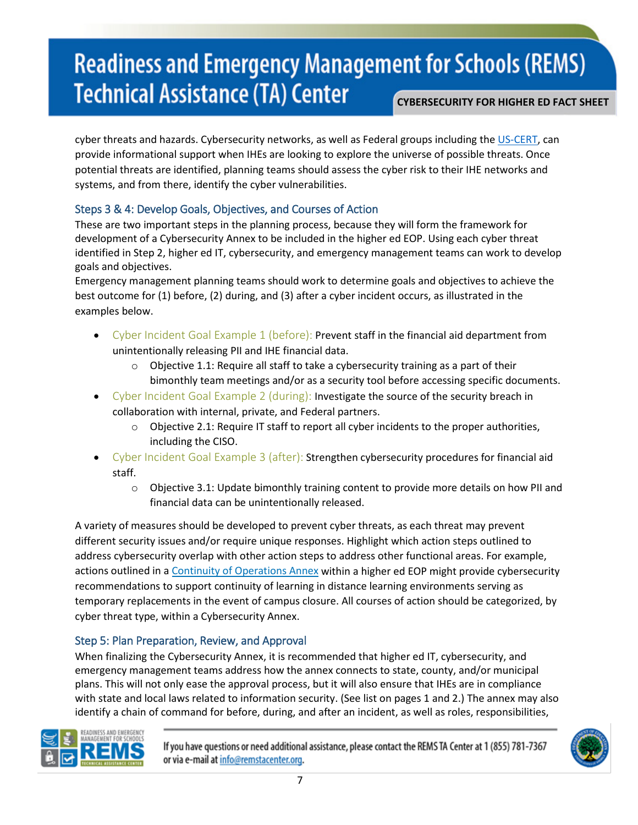cyber threats and hazards. Cybersecurity networks, as well as Federal groups including the [US-C](https://www.us-cert.gov/)ERT, can provide informational support when IHEs are looking to explore the universe of possible threats. Once potential threats are identified, planning teams should assess the cyber risk to their IHE networks and systems, and from there, identify the cyber vulnerabilities.

### Steps 3 & 4: Develop Goals, Objectives, and Courses of Action

These are two important steps in the planning process, because they will form the framework for development of a Cybersecurity Annex to be included in the higher ed EOP. Using each cyber threat identified in Step 2, higher ed IT, cybersecurity, and emergency management teams can work to develop goals and objectives.

Emergency management planning teams should work to determine goals and objectives to achieve the best outcome for (1) before, (2) during, and (3) after a cyber incident occurs, as illustrated in the examples below.

- Cyber Incident Goal Example 1 (before): Prevent staff in the financial aid department from unintentionally releasing PII and IHE financial data.
	- o Objective 1.1: Require all staff to take a cybersecurity training as a part of their bimonthly team meetings and/or as a security tool before accessing specific documents.
- Cyber Incident Goal Example 2 (during): Investigate the source of the security breach in collaboration with internal, private, and Federal partners.
	- $\circ$  Objective 2.1: Require IT staff to report all cyber incidents to the proper authorities, including the CISO.
- Cyber Incident Goal Example 3 (after): Strengthen cybersecurity procedures for financial aid staff.
	- $\circ$  Objective 3.1: Update bimonthly training content to provide more details on how PII and financial data can be unintentionally released.

A variety of measures should be developed to prevent cyber threats, as each threat may prevent different security issues and/or require unique responses. Highlight which action steps outlined to address cybersecurity overlap with other action steps to address other functional areas. For example, actions outlined in a [Continuity of Operations Annex](https://rems.ed.gov/IHECOOPAnnex.aspx) within a higher ed EOP might provide cybersecurity recommendations to support continuity of learning in distance learning environments serving as temporary replacements in the event of campus closure. All courses of action should be categorized, by cyber threat type, within a Cybersecurity Annex.

#### Step 5: Plan Preparation, Review, and Approval

When finalizing the Cybersecurity Annex, it is recommended that higher ed IT, cybersecurity, and emergency management teams address how the annex connects to state, county, and/or municipal plans. This will not only ease the approval process, but it will also ensure that IHEs are in compliance with state and local laws related to information security. (See list on pages 1 and 2.) The annex may also identify a chain of command for before, during, and after an incident, as well as roles, responsibilities,



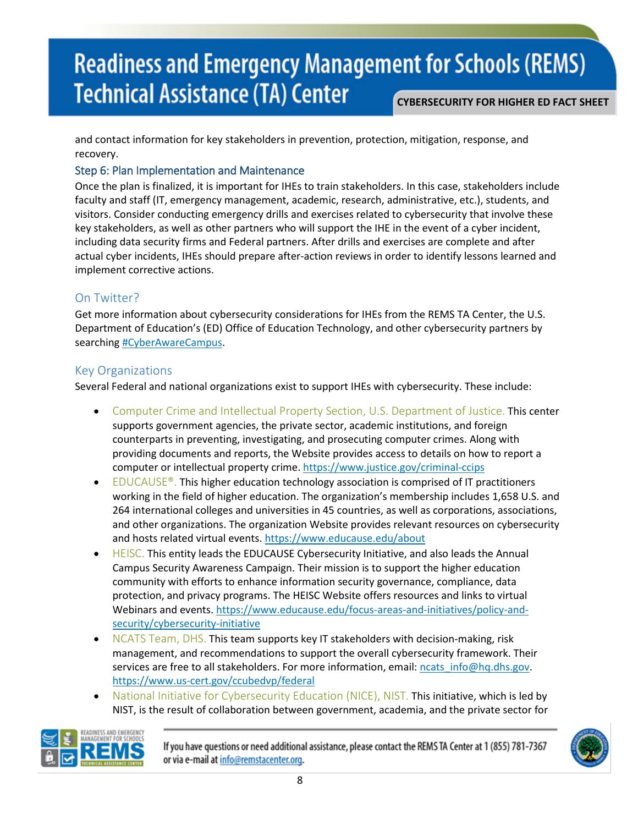and contact information for key stakeholders in prevention, protection, mitigation, response, and recovery.

#### Step 6: Plan Implementation and Maintenance

Once the plan is finalized, it is important for IHEs to train stakeholders. In this case, stakeholders include faculty and staff (IT, emergency management, academic, research, administrative, etc.), students, and visitors. Consider conducting emergency drills and exercises related to cybersecurity that involve these key stakeholders, as well as other partners who will support the IHE in the event of a cyber incident, including data security firms and Federal partners. After drills and exercises are complete and after actual cyber incidents, IHEs should prepare after-action reviews in order to identify lessons learned and implement corrective actions.

### On Twitter?

Get more information about cybersecurity considerations for IHEs from the REMS TA Center, the U.S. Department of Education's (ED) Office of Education Technology, and other cybersecurity partners by searching [#CyberAwareCampus.](https://twitter.com/hashtag/CyberAwareCampus?src=hash)

### Key Organizations

Several Federal and national organizations exist to support IHEs with cybersecurity. These include:

- Computer Crime and Intellectual Property Section, U.S. Department of Justice. This center supports government agencies, the private sector, academic institutions, and foreign counterparts in preventing, investigating, and prosecuting computer crimes. Along with providing documents and reports, the Website provides access to details on how to report a computer or intellectual property crime.<https://www.justice.gov/criminal-ccips>
- $E_{\text{DUCAUSE}}^{\text{D}}$ . This higher education technology association is comprised of IT practitioners working in the field of higher education. The organization's membership includes 1,658 U.S. and 264 international colleges and universities in 45 countries, as well as corporations, associations, and other organizations. The organization Website provides relevant resources on cybersecurity and hosts related virtual events.<https://www.educause.edu/about>
- HEISC. This entity leads the EDUCAUSE Cybersecurity Initiative, and also leads the Annual Campus Security Awareness Campaign. Their mission is to support the higher education community with efforts to enhance information security governance, compliance, data protection, and privacy programs. The HEISC Website offers resources and links to virtual Webinars and events[. https://www.educause.edu/focus-areas-and-initiatives/policy-and](https://www.educause.edu/focus-areas-and-initiatives/policy-and-security/cybersecurity-initiative)[security/cybersecurity-initiative](https://www.educause.edu/focus-areas-and-initiatives/policy-and-security/cybersecurity-initiative)
- NCATS Team, DHS. This team supports key IT stakeholders with decision-making, risk management, and recommendations to support the overall cybersecurity framework. Their services are free to all stakeholders. For more information, email: ncats info@hq.dhs.gov. <https://www.us-cert.gov/ccubedvp/federal>
- National Initiative for Cybersecurity Education (NICE), NIST. This initiative, which is led by NIST, is the result of collaboration between government, academia, and the private sector for



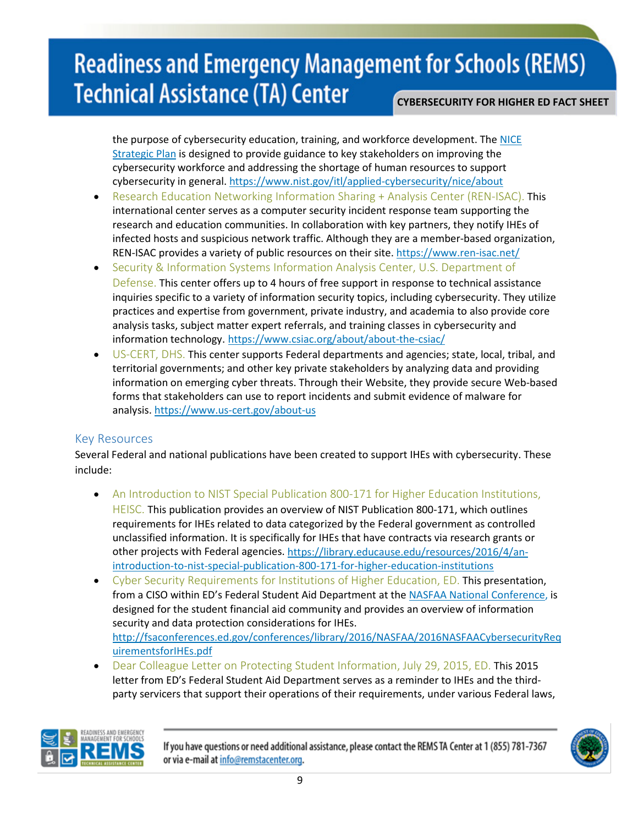the purpose of cybersecurity education, training, and workforce development. The [NICE](https://www.nist.gov/itl/applied-cybersecurity/nice/strategic-plan)  [Strategic Plan](https://www.nist.gov/itl/applied-cybersecurity/nice/strategic-plan) is designed to provide guidance to key stakeholders on improving the cybersecurity workforce and addressing the shortage of human resources to support cybersecurity in general. <https://www.nist.gov/itl/applied-cybersecurity/nice/about>

- Research Education Networking Information Sharing + Analysis Center (REN-ISAC). This international center serves as a computer security incident response team supporting the research and education communities. In collaboration with key partners, they notify IHEs of infected hosts and suspicious network traffic. Although they are a member-based organization, REN-ISAC provides a variety of public resources on their site[. https://www.ren-isac.net/](https://www.ren-isac.net/)
- Security & Information Systems Information Analysis Center, U.S. Department of Defense. This center offers up to 4 hours of free support in response to technical assistance inquiries specific to a variety of information security topics, including cybersecurity. They utilize practices and expertise from government, private industry, and academia to also provide core analysis tasks, subject matter expert referrals, and training classes in cybersecurity and information technology. <https://www.csiac.org/about/about-the-csiac/>
- US-CERT, DHS. This center supports Federal departments and agencies; state, local, tribal, and territorial governments; and other key private stakeholders by analyzing data and providing information on emerging cyber threats. Through their Website, they provide secure Web-based forms that stakeholders can use to report incidents and submit evidence of malware for analysis. <https://www.us-cert.gov/about-us>

#### Key Resources

Several Federal and national publications have been created to support IHEs with cybersecurity. These include:

- An Introduction to NIST Special Publication 800-171 for Higher Education Institutions, HEISC. This publication provides an overview of NIST Publication 800-171, which outlines requirements for IHEs related to data categorized by the Federal government as controlled unclassified information. It is specifically for IHEs that have contracts via research grants or other projects with Federal agencies. [https://library.educause.edu/resources/2016/4/an](https://library.educause.edu/resources/2016/4/an-introduction-to-nist-special-publication-800-171-for-higher-education-institutions)[introduction-to-nist-special-publication-800-171-for-higher-education-institutions](https://library.educause.edu/resources/2016/4/an-introduction-to-nist-special-publication-800-171-for-higher-education-institutions)
- Cyber Security Requirements for Institutions of Higher Education, ED. This presentation, from a CISO within ED's Federal Student Aid Department at th[e NASFAA National Conference,](https://www.nasfaa.org/about) is designed for the student financial aid community and provides an overview of information security and data protection considerations for IHEs. [http://fsaconferences.ed.gov/conferences/library/2016/NASFAA/2016NASFAACybersecurityReq](http://fsaconferences.ed.gov/conferences/library/2016/NASFAA/2016NASFAACybersecurityRequirementsforIHEs.pdf) [uirementsforIHEs.pdf](http://fsaconferences.ed.gov/conferences/library/2016/NASFAA/2016NASFAACybersecurityRequirementsforIHEs.pdf)
- Dear Colleague Letter on Protecting Student Information, July 29, 2015, ED. This 2015 letter from ED's Federal Student Aid Department serves as a reminder to IHEs and the thirdparty servicers that support their operations of their requirements, under various Federal laws,



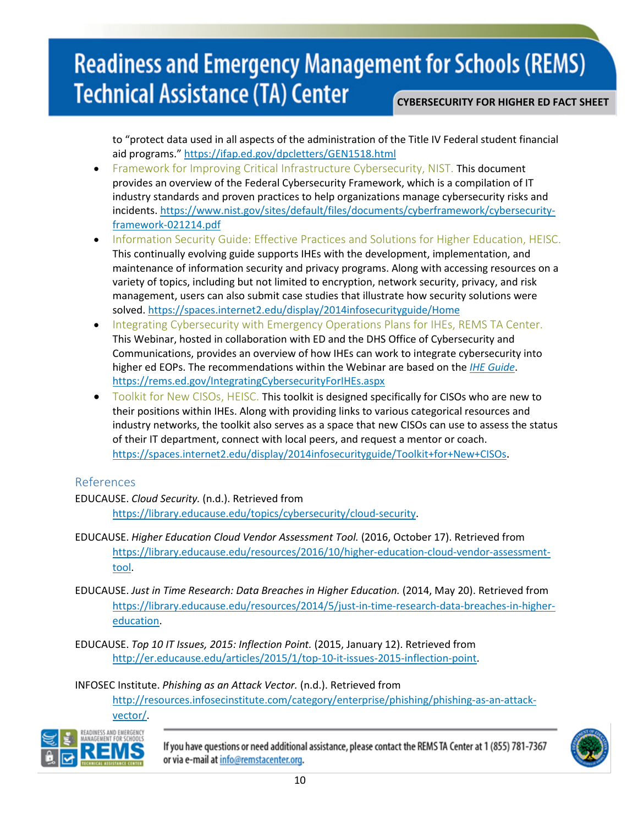to "protect data used in all aspects of the administration of the Title IV Federal student financial aid programs.[" https://ifap.ed.gov/dpcletters/GEN1518.html](https://ifap.ed.gov/dpcletters/GEN1518.html)

- **Framework for Improving Critical Infrastructure Cybersecurity, NIST. This document** provides an overview of the Federal Cybersecurity Framework, which is a compilation of IT industry standards and proven practices to help organizations manage cybersecurity risks and incidents. [https://www.nist.gov/sites/default/files/documents/cyberframework/cybersecurity](https://www.nist.gov/sites/default/files/documents/cyberframework/cybersecurity-framework-021214.pdf)[framework-021214.pdf](https://www.nist.gov/sites/default/files/documents/cyberframework/cybersecurity-framework-021214.pdf)
- Information Security Guide: Effective Practices and Solutions for Higher Education, HEISC. This continually evolving guide supports IHEs with the development, implementation, and maintenance of information security and privacy programs. Along with accessing resources on a variety of topics, including but not limited to encryption, network security, privacy, and risk management, users can also submit case studies that illustrate how security solutions were solved.<https://spaces.internet2.edu/display/2014infosecurityguide/Home>
- Integrating Cybersecurity with Emergency Operations Plans for IHEs, REMS TA Center. This Webinar, hosted in collaboration with ED and the DHS Office of Cybersecurity and Communications, provides an overview of how IHEs can work to integrate cybersecurity into higher ed EOPs. The recommendations within the Webinar are based on the *[IHE Guide](http://rems.ed.gov/IHEGuideIntro.aspx)*. <https://rems.ed.gov/IntegratingCybersecurityForIHEs.aspx>
- Toolkit for New CISOs, HEISC. This toolkit is designed specifically for CISOs who are new to their positions within IHEs. Along with providing links to various categorical resources and industry networks, the toolkit also serves as a space that new CISOs can use to assess the status of their IT department, connect with local peers, and request a mentor or coach. [https://spaces.internet2.edu/display/2014infosecurityguide/Toolkit+for+New+CISOs.](https://spaces.internet2.edu/display/2014infosecurityguide/Toolkit+for+New+CISOs)

#### References

- EDUCAUSE. *Cloud Security.* (n.d.). Retrieved from [https://library.educause.edu/topics/cybersecurity/cloud-security.](https://library.educause.edu/topics/cybersecurity/cloud-security)
- EDUCAUSE. *Higher Education Cloud Vendor Assessment Tool.* (2016, October 17). Retrieved from [https://library.educause.edu/resources/2016/10/higher-education-cloud-vendor-assessment](https://library.educause.edu/resources/2016/10/higher-education-cloud-vendor-assessment-tool)[tool.](https://library.educause.edu/resources/2016/10/higher-education-cloud-vendor-assessment-tool)
- EDUCAUSE. *Just in Time Research: Data Breaches in Higher Education.* (2014, May 20). Retrieved from [https://library.educause.edu/resources/2014/5/just-in-time-research-data-breaches-in-higher](https://library.educause.edu/resources/2014/5/just-in-time-research-data-breaches-in-higher-education)[education.](https://library.educause.edu/resources/2014/5/just-in-time-research-data-breaches-in-higher-education)
- EDUCAUSE. *Top 10 IT Issues, 2015: Inflection Point.* (2015, January 12). Retrieved from [http://er.educause.edu/articles/2015/1/top-10-it-issues-2015-inflection-point.](http://er.educause.edu/articles/2015/1/top-10-it-issues-2015-inflection-point)

INFOSEC Institute. *Phishing as an Attack Vector.* (n.d.). Retrieved from

[http://resources.infosecinstitute.com/category/enterprise/phishing/phishing-as-an-attack](http://resources.infosecinstitute.com/category/enterprise/phishing/phishing-as-an-attack-vector/)[vector/.](http://resources.infosecinstitute.com/category/enterprise/phishing/phishing-as-an-attack-vector/)